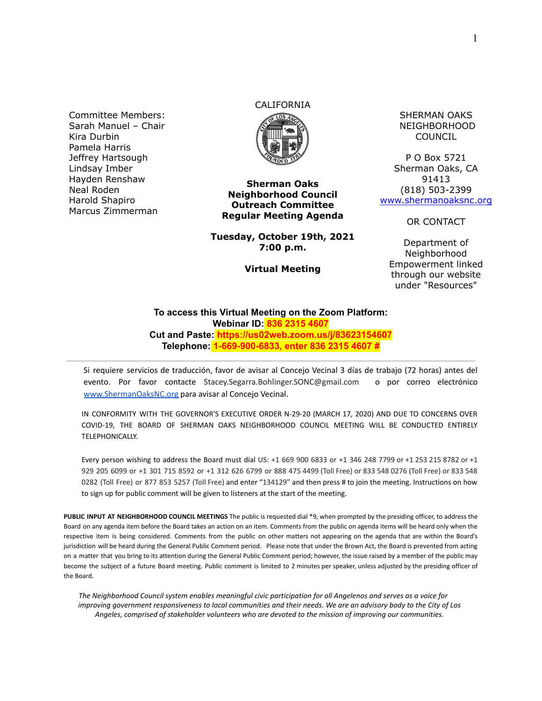Committee Members: Sarah Manuel – Chair Kira Durbin Pamela Harris Jeffrey Hartsough Lindsay Imber Hayden Renshaw Neal Roden Harold Shapiro Marcus Zimmerman

# CALIFORNIA



**Sherman Oaks Neighborhood Council Outreach Committee Regular Meeting Agenda**

**Tuesday, October 19th, 2021 7:00 p.m.**

**Virtual Meeting**

SHERMAN OAKS NEIGHBORHOOD COUNCIL

P O Box 5721 Sherman Oaks, CA 91413 (818) 503-2399 [www.shermanoaksnc.org](http://www.shermanoaksnc.org/)

OR CONTACT

Department of Neighborhood Empowerment linked through our website under "Resources"

#### **To access this Virtual Meeting on the Zoom Platform: Webinar ID: 836 2315 4607 Cut and Paste: https://us02web.zoom.us/j/83623154607 Telephone: 1-669-900-6833, enter 836 2315 4607 #**

Si requiere servicios de traducción, favor de avisar al Concejo Vecinal 3 días de trabajo (72 horas) antes del evento. Por favor contacte Stacey.Segarra.Bohlinger.SONC@gmail.com o por correo electrónico [www.ShermanOaksNC.org](http://www.shermanoaksnc.org) para avisar al Concejo Vecinal.

IN CONFORMITY WITH THE GOVERNOR'S EXECUTIVE ORDER N-29-20 (MARCH 17, 2020) AND DUE TO CONCERNS OVER COVID-19, THE BOARD OF SHERMAN OAKS NEIGHBORHOOD COUNCIL MEETING WILL BE CONDUCTED ENTIRELY TELEPHONICALLY.

Every person wishing to address the Board must dial US: +1 669 900 6833 or +1 346 248 7799 or +1 253 215 8782 or +1 929 205 6099 or +1 301 715 8592 or +1 312 626 6799 or 888 475 4499 (Toll Free) or 833 548 0276 (Toll Free) or 833 548 0282 (Toll Free) or 877 853 5257 (Toll Free) and enter "134129" and then press # to join the meeting. Instructions on how to sign up for public comment will be given to listeners at the start of the meeting.

**PUBLIC INPUT AT NEIGHBORHOOD COUNCIL MEETINGS** The public is requested dial \*9, when prompted by the presiding officer, to address the Board on any agenda item before the Board takes an action on an item. Comments from the public on agenda items will be heard only when the respective item is being considered. Comments from the public on other matters not appearing on the agenda that are within the Board's jurisdiction will be heard during the General Public Comment period. Please note that under the Brown Act, the Board is prevented from acting on a matter that you bring to its attention during the General Public Comment period; however, the issue raised by a member of the public may become the subject of a future Board meeting. Public comment is limited to 2 minutes per speaker, unless adjusted by the presiding officer of the Board.

*The Neighborhood Council system enables meaningful civic participation for all Angelenos and serves as a voice for improving government responsiveness to local communities and their needs. We are an advisory body to the City of Los Angeles, comprised of stakeholder volunteers who are devoted to the mission of improving our communities.*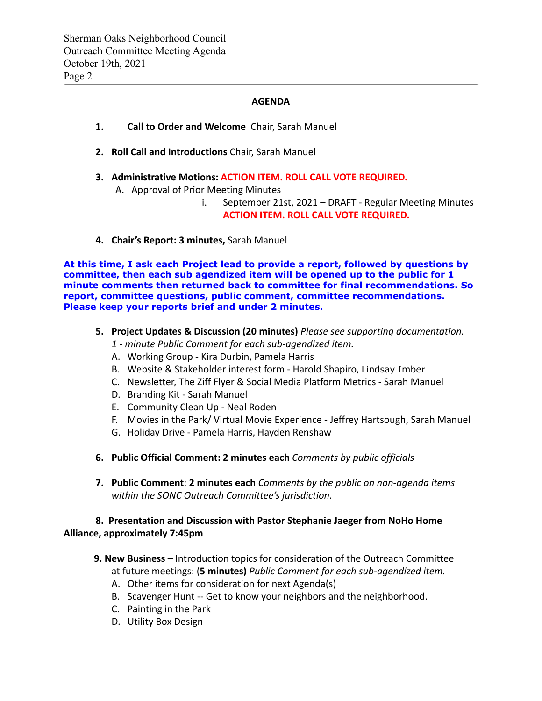### **AGENDA**

- **1. Call to Order and Welcome** Chair, Sarah Manuel
- **2. Roll Call and Introductions** Chair, Sarah Manuel
- **3. Administrative Motions: ACTION ITEM. ROLL CALL VOTE REQUIRED.**
	- A. Approval of Prior Meeting Minutes
		- i. September 21st, 2021 DRAFT Regular Meeting Minutes **ACTION ITEM. ROLL CALL VOTE REQUIRED.**
- **4. Chair's Report: 3 minutes,** Sarah Manuel

**At this time, I ask each Project lead to provide a report, followed by questions by committee, then each sub agendized item will be opened up to the public for 1 minute comments then returned back to committee for final recommendations. So report, committee questions, public comment, committee recommendations. Please keep your reports brief and under 2 minutes.**

- **5. Project Updates & Discussion (20 minutes)** *Please see supporting documentation.*
	- *1 minute Public Comment for each sub-agendized item.*
	- A. Working Group Kira Durbin, Pamela Harris
	- B. Website & Stakeholder interest form Harold Shapiro, Lindsay Imber
	- C. Newsletter, The Ziff Flyer & Social Media Platform Metrics Sarah Manuel
	- D. Branding Kit Sarah Manuel
	- E. Community Clean Up Neal Roden
	- F. Movies in the Park/ Virtual Movie Experience Jeffrey Hartsough, Sarah Manuel
	- G. Holiday Drive Pamela Harris, Hayden Renshaw
- **6. Public Official Comment: 2 minutes each** *Comments by public officials*
- **7. Public Comment**: **2 minutes each** *Comments by the public on non-agenda items within the SONC Outreach Committee's jurisdiction.*

## **8. Presentation and Discussion with Pastor Stephanie Jaeger from NoHo Home Alliance, approximately 7:45pm**

- **9. New Business** Introduction topics for consideration of the Outreach Committee at future meetings: (**5 minutes)** *Public Comment for each sub-agendized item.*
	- A. Other items for consideration for next Agenda(s)
	- B. Scavenger Hunt -- Get to know your neighbors and the neighborhood.
	- C. Painting in the Park
	- D. Utility Box Design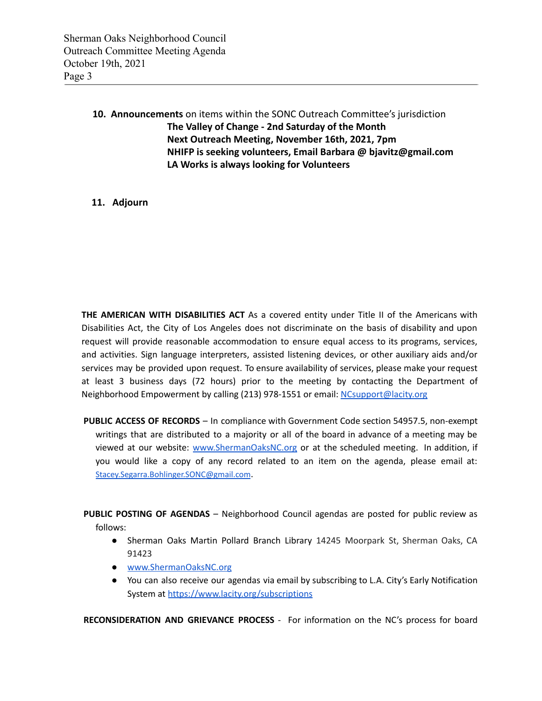**10. Announcements** on items within the SONC Outreach Committee's jurisdiction **The Valley of Change - 2nd Saturday of the Month Next Outreach Meeting, November 16th, 2021, 7pm NHIFP is seeking volunteers, Email Barbara @ bjavitz@gmail.com LA Works is always looking for Volunteers**

### **11. Adjourn**

**THE AMERICAN WITH DISABILITIES ACT** As a covered entity under Title II of the Americans with Disabilities Act, the City of Los Angeles does not discriminate on the basis of disability and upon request will provide reasonable accommodation to ensure equal access to its programs, services, and activities. Sign language interpreters, assisted listening devices, or other auxiliary aids and/or services may be provided upon request. To ensure availability of services, please make your request at least 3 business days (72 hours) prior to the meeting by contacting the Department of Neighborhood Empowerment by calling (213) 978-1551 or email: [NCsupport@lacity.org](mailto:NCsupport@lacity.org)

**PUBLIC ACCESS OF RECORDS** – In compliance with Government Code section 54957.5, non-exempt writings that are distributed to a majority or all of the board in advance of a meeting may be viewed at our website: [www.ShermanOaksNC.org](http://www.shermanoaksnc.org) or at the scheduled meeting. In addition, if you would like a copy of any record related to an item on the agenda, please email at: [Stacey.Segarra.Bohlinger.SONC@gmail.com](mailto:Stacey.Segarra.Bohlinger.SONC@gmail.com).

**PUBLIC POSTING OF AGENDAS** – Neighborhood Council agendas are posted for public review as follows:

- Sherman Oaks Martin Pollard Branch Library 14245 Moorpark St, Sherman Oaks, CA 91423
- [www.ShermanOaksNC.org](http://www.shermanoaksnc.org)
- You can also receive our agendas via email by subscribing to L.A. City's Early Notification System at <https://www.lacity.org/subscriptions>

**RECONSIDERATION AND GRIEVANCE PROCESS** - For information on the NC's process for board